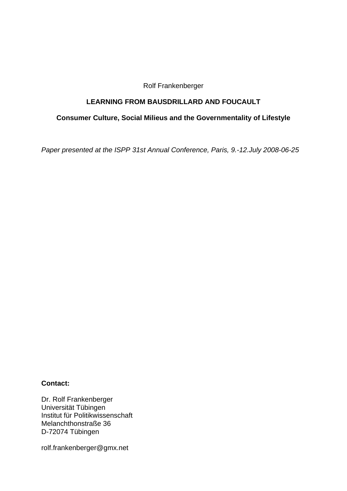Rolf Frankenberger

### **LEARNING FROM BAUSDRILLARD AND FOUCAULT**

# **Consumer Culture, Social Milieus and the Governmentality of Lifestyle**

*Paper presented at the ISPP 31st Annual Conference, Paris, 9.-12.July 2008-06-25* 

#### **Contact:**

Dr. Rolf Frankenberger Universität Tübingen Institut für Politikwissenschaft Melanchthonstraße 36 D-72074 Tübingen

rolf.frankenberger@gmx.net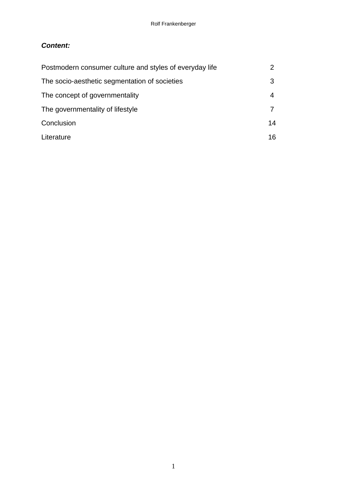# *Content:*

| Postmodern consumer culture and styles of everyday life |     |
|---------------------------------------------------------|-----|
| The socio-aesthetic segmentation of societies           | 3   |
| The concept of governmentality                          | 4   |
| The governmentality of lifestyle                        |     |
| Conclusion                                              | 14  |
| Literature                                              | 16. |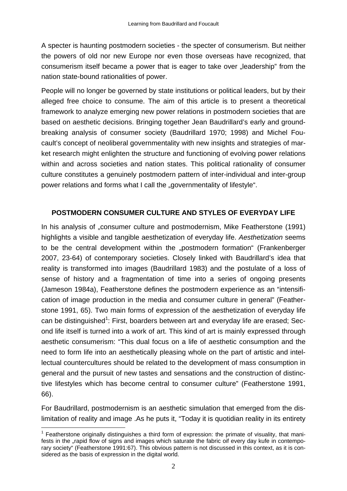A specter is haunting postmodern societies - the specter of consumerism. But neither the powers of old nor new Europe nor even those overseas have recognized, that consumerism itself became a power that is eager to take over "leadership" from the nation state-bound rationalities of power.

People will no longer be governed by state institutions or political leaders, but by their alleged free choice to consume. The aim of this article is to present a theoretical framework to analyze emerging new power relations in postmodern societies that are based on aesthetic decisions. Bringing together Jean Baudrillard's early and groundbreaking analysis of consumer society (Baudrillard 1970; 1998) and Michel Foucault's concept of neoliberal governmentality with new insights and strategies of market research might enlighten the structure and functioning of evolving power relations within and across societies and nation states. This political rationality of consumer culture constitutes a genuinely postmodern pattern of inter-individual and inter-group power relations and forms what I call the "governmentality of lifestyle".

### **POSTMODERN CONSUMER CULTURE AND STYLES OF EVERYDAY LIFE**

In his analysis of "consumer culture and postmodernism, Mike Featherstone (1991) highlights a visible and tangible aesthetization of everyday life. *Aesthetization* seems to be the central development within the "postmodern formation" (Frankenberger 2007, 23-64) of contemporary societies. Closely linked with Baudrillard's idea that reality is transformed into images (Baudrillard 1983) and the postulate of a loss of sense of history and a fragmentation of time into a series of ongoing presents (Jameson 1984a), Featherstone defines the postmodern experience as an "intensification of image production in the media and consumer culture in general" (Featherstone 1991, 65). Two main forms of expression of the aesthetization of everyday life can be distinguished<sup>1</sup>: First, boarders between art and everyday life are erased; Second life itself is turned into a work of art. This kind of art is mainly expressed through aesthetic consumerism: "This dual focus on a life of aesthetic consumption and the need to form life into an aesthetically pleasing whole on the part of artistic and intellectual countercultures should be related to the development of mass consumption in general and the pursuit of new tastes and sensations and the construction of distinctive lifestyles which has become central to consumer culture" (Featherstone 1991, 66).

For Baudrillard, postmodernism is an aesthetic simulation that emerged from the dislimitation of reality and image .As he puts it, "Today it is quotidian reality in its entirety

1

<sup>&</sup>lt;sup>1</sup> Featherstone originally distinguishes a third form of expression: the primate of visuality, that manifests in the "rapid flow of signs and images which saturate the fabric oif every day kufe in contemporary society" (Featherstone 1991:67). This obvious pattern is not discussed in this context, as it is considered as the basis of expression in the digital world.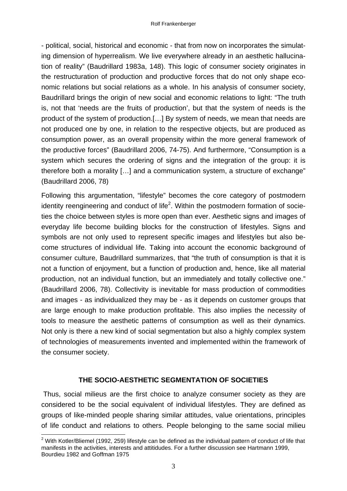- political, social, historical and economic - that from now on incorporates the simulating dimension of hyperrealism. We live everywhere already in an aesthetic hallucination of reality" (Baudrillard 1983a, 148). This logic of consumer society originates in the restructuration of production and productive forces that do not only shape economic relations but social relations as a whole. In his analysis of consumer society, Baudrillard brings the origin of new social and economic relations to light: "The truth is, not that 'needs are the fruits of production', but that the system of needs is the product of the system of production.[…] By system of needs, we mean that needs are not produced one by one, in relation to the respective objects, but are produced as consumption power, as an overall propensity within the more general framework of the productive forces" (Baudrillard 2006, 74-75). And furthermore, "Consumption is a system which secures the ordering of signs and the integration of the group: it is therefore both a morality […] and a communication system, a structure of exchange" (Baudrillard 2006, 78)

Following this argumentation, "lifestyle" becomes the core category of postmodern identity reengineering and conduct of life<sup>2</sup>. Within the postmodern formation of societies the choice between styles is more open than ever. Aesthetic signs and images of everyday life become building blocks for the construction of lifestyles. Signs and symbols are not only used to represent specific images and lifestyles but also become structures of individual life. Taking into account the economic background of consumer culture, Baudrillard summarizes, that "the truth of consumption is that it is not a function of enjoyment, but a function of production and, hence, like all material production, not an individual function, but an immediately and totally collective one." (Baudrillard 2006, 78). Collectivity is inevitable for mass production of commodities and images - as individualized they may be - as it depends on customer groups that are large enough to make production profitable. This also implies the necessity of tools to measure the aesthetic patterns of consumption as well as their dynamics. Not only is there a new kind of social segmentation but also a highly complex system of technologies of measurements invented and implemented within the framework of the consumer society.

## **THE SOCIO-AESTHETIC SEGMENTATION OF SOCIETIES**

 Thus, social milieus are the first choice to analyze consumer society as they are considered to be the social equivalent of individual lifestyles. They are defined as groups of like-minded people sharing similar attitudes, value orientations, principles of life conduct and relations to others. People belonging to the same social milieu

1

 $2$  With Kotler/Bliemel (1992, 259) lifestyle can be defined as the individual pattern of conduct of life that manifests in the activities, interests and attitidudes. For a further discussion see Hartmann 1999, Bourdieu 1982 and Goffman 1975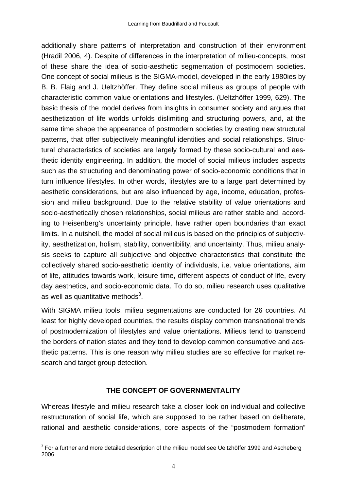additionally share patterns of interpretation and construction of their environment (Hradil 2006, 4). Despite of differences in the interpretation of milieu-concepts, most of these share the idea of socio-aesthetic segmentation of postmodern societies. One concept of social milieus is the SIGMA-model, developed in the early 1980ies by B. B. Flaig and J. Ueltzhöffer. They define social milieus as groups of people with characteristic common value orientations and lifestyles. (Ueltzhöffer 1999, 629). The basic thesis of the model derives from insights in consumer society and argues that aesthetization of life worlds unfolds dislimiting and structuring powers, and, at the same time shape the appearance of postmodern societies by creating new structural patterns, that offer subjectively meaningful identities and social relationships. Structural characteristics of societies are largely formed by these socio-cultural and aesthetic identity engineering. In addition, the model of social milieus includes aspects such as the structuring and denominating power of socio-economic conditions that in turn influence lifestyles. In other words, lifestyles are to a large part determined by aesthetic considerations, but are also influenced by age, income, education, profession and milieu background. Due to the relative stability of value orientations and socio-aesthetically chosen relationships, social milieus are rather stable and, according to Heisenberg's uncertainty principle, have rather open boundaries than exact limits. In a nutshell, the model of social milieus is based on the principles of subjectivity, aesthetization, holism, stability, convertibility, and uncertainty. Thus, milieu analysis seeks to capture all subjective and objective characteristics that constitute the collectively shared socio-aesthetic identity of individuals, i.e. value orientations, aim of life, attitudes towards work, leisure time, different aspects of conduct of life, every day aesthetics, and socio-economic data. To do so, milieu research uses qualitative as well as quantitative methods $3$ .

With SIGMA milieu tools, milieu segmentations are conducted for 26 countries. At least for highly developed countries, the results display common transnational trends of postmodernization of lifestyles and value orientations. Milieus tend to transcend the borders of nation states and they tend to develop common consumptive and aesthetic patterns. This is one reason why milieu studies are so effective for market research and target group detection.

### **THE CONCEPT OF GOVERNMENTALITY**

Whereas lifestyle and milieu research take a closer look on individual and collective restructuration of social life, which are supposed to be rather based on deliberate, rational and aesthetic considerations, core aspects of the "postmodern formation"

<sup>1</sup>  $3$  For a further and more detailed description of the milieu model see Ueltzhöffer 1999 and Ascheberg 2006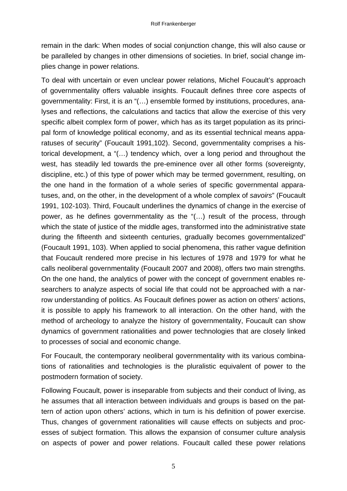remain in the dark: When modes of social conjunction change, this will also cause or be paralleled by changes in other dimensions of societies. In brief, social change implies change in power relations.

To deal with uncertain or even unclear power relations, Michel Foucault's approach of governmentality offers valuable insights. Foucault defines three core aspects of governmentality: First, it is an "(…) ensemble formed by institutions, procedures, analyses and reflections, the calculations and tactics that allow the exercise of this very specific albeit complex form of power, which has as its target population as its principal form of knowledge political economy, and as its essential technical means apparatuses of security" (Foucault 1991,102). Second, governmentality comprises a historical development, a "(…) tendency which, over a long period and throughout the west, has steadily led towards the pre-eminence over all other forms (sovereignty, discipline, etc.) of this type of power which may be termed government, resulting, on the one hand in the formation of a whole series of specific governmental apparatuses, and, on the other, in the development of a whole complex of *savoirs*" (Foucault 1991, 102-103). Third, Foucault underlines the dynamics of change in the exercise of power, as he defines governmentality as the "(…) result of the process, through which the state of justice of the middle ages, transformed into the administrative state during the fifteenth and sixteenth centuries, gradually becomes governmentalized" (Foucault 1991, 103). When applied to social phenomena, this rather vague definition that Foucault rendered more precise in his lectures of 1978 and 1979 for what he calls neoliberal governmentality (Foucault 2007 and 2008), offers two main strengths. On the one hand, the analytics of power with the concept of government enables researchers to analyze aspects of social life that could not be approached with a narrow understanding of politics. As Foucault defines power as action on others' actions, it is possible to apply his framework to all interaction. On the other hand, with the method of archeology to analyze the history of governmentality, Foucault can show dynamics of government rationalities and power technologies that are closely linked to processes of social and economic change.

For Foucault, the contemporary neoliberal governmentality with its various combinations of rationalities and technologies is the pluralistic equivalent of power to the postmodern formation of society.

Following Foucault, power is inseparable from subjects and their conduct of living, as he assumes that all interaction between individuals and groups is based on the pattern of action upon others' actions, which in turn is his definition of power exercise. Thus, changes of government rationalities will cause effects on subjects and processes of subject formation. This allows the expansion of consumer culture analysis on aspects of power and power relations. Foucault called these power relations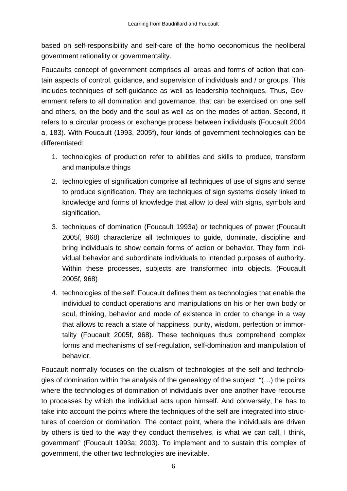based on self-responsibility and self-care of the homo oeconomicus the neoliberal government rationality or governmentality.

Foucaults concept of government comprises all areas and forms of action that contain aspects of control, guidance, and supervision of individuals and / or groups. This includes techniques of self-guidance as well as leadership techniques. Thus, Government refers to all domination and governance, that can be exercised on one self and others, on the body and the soul as well as on the modes of action. Second, it refers to a circular process or exchange process between individuals (Foucault 2004 a, 183). With Foucault (1993, 2005f), four kinds of government technologies can be differentiated:

- 1. technologies of production refer to abilities and skills to produce, transform and manipulate things
- 2. technologies of signification comprise all techniques of use of signs and sense to produce signification. They are techniques of sign systems closely linked to knowledge and forms of knowledge that allow to deal with signs, symbols and signification.
- 3. techniques of domination (Foucault 1993a) or techniques of power (Foucault 2005f, 968) characterize all techniques to guide, dominate, discipline and bring individuals to show certain forms of action or behavior. They form individual behavior and subordinate individuals to intended purposes of authority. Within these processes, subjects are transformed into objects. (Foucault 2005f, 968)
- 4. technologies of the self: Foucault defines them as technologies that enable the individual to conduct operations and manipulations on his or her own body or soul, thinking, behavior and mode of existence in order to change in a way that allows to reach a state of happiness, purity, wisdom, perfection or immortality (Foucault 2005f, 968). These techniques thus comprehend complex forms and mechanisms of self-regulation, self-domination and manipulation of behavior.

Foucault normally focuses on the dualism of technologies of the self and technologies of domination within the analysis of the genealogy of the subject: "(…) the points where the technologies of domination of individuals over one another have recourse to processes by which the individual acts upon himself. And conversely, he has to take into account the points where the techniques of the self are integrated into structures of coercion or domination. The contact point, where the individuals are driven by others is tied to the way they conduct themselves, is what we can call, I think, government" (Foucault 1993a; 2003). To implement and to sustain this complex of government, the other two technologies are inevitable.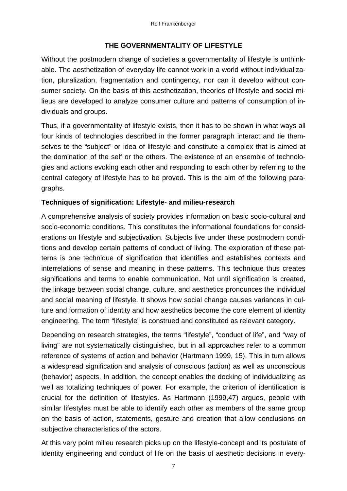# **THE GOVERNMENTALITY OF LIFESTYLE**

Without the postmodern change of societies a governmentality of lifestyle is unthinkable. The aesthetization of everyday life cannot work in a world without individualization, pluralization, fragmentation and contingency, nor can it develop without consumer society. On the basis of this aesthetization, theories of lifestyle and social milieus are developed to analyze consumer culture and patterns of consumption of individuals and groups.

Thus, if a governmentality of lifestyle exists, then it has to be shown in what ways all four kinds of technologies described in the former paragraph interact and tie themselves to the "subject" or idea of lifestyle and constitute a complex that is aimed at the domination of the self or the others. The existence of an ensemble of technologies and actions evoking each other and responding to each other by referring to the central category of lifestyle has to be proved. This is the aim of the following paragraphs.

## **Techniques of signification: Lifestyle- and milieu-research**

A comprehensive analysis of society provides information on basic socio-cultural and socio-economic conditions. This constitutes the informational foundations for considerations on lifestyle and subjectivation. Subjects live under these postmodern conditions and develop certain patterns of conduct of living. The exploration of these patterns is one technique of signification that identifies and establishes contexts and interrelations of sense and meaning in these patterns. This technique thus creates significations and terms to enable communication. Not until signification is created, the linkage between social change, culture, and aesthetics pronounces the individual and social meaning of lifestyle. It shows how social change causes variances in culture and formation of identity and how aesthetics become the core element of identity engineering. The term "lifestyle" is construed and constituted as relevant category.

Depending on research strategies, the terms "lifestyle", "conduct of life", and "way of living" are not systematically distinguished, but in all approaches refer to a common reference of systems of action and behavior (Hartmann 1999, 15). This in turn allows a widespread signification and analysis of conscious (action) as well as unconscious (behavior) aspects. In addition, the concept enables the docking of individualizing as well as totalizing techniques of power. For example, the criterion of identification is crucial for the definition of lifestyles. As Hartmann (1999,47) argues, people with similar lifestyles must be able to identify each other as members of the same group on the basis of action, statements, gesture and creation that allow conclusions on subjective characteristics of the actors.

At this very point milieu research picks up on the lifestyle-concept and its postulate of identity engineering and conduct of life on the basis of aesthetic decisions in every-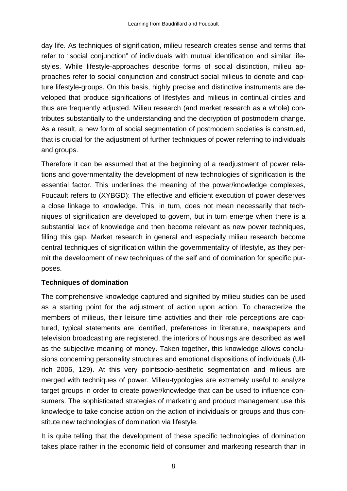day life. As techniques of signification, milieu research creates sense and terms that refer to "social conjunction" of individuals with mutual identification and similar lifestyles. While lifestyle-approaches describe forms of social distinction, milieu approaches refer to social conjunction and construct social milieus to denote and capture lifestyle-groups. On this basis, highly precise and distinctive instruments are developed that produce significations of lifestyles and milieus in continual circles and thus are frequently adjusted. Milieu research (and market research as a whole) contributes substantially to the understanding and the decryption of postmodern change. As a result, a new form of social segmentation of postmodern societies is construed, that is crucial for the adjustment of further techniques of power referring to individuals and groups.

Therefore it can be assumed that at the beginning of a readjustment of power relations and governmentality the development of new technologies of signification is the essential factor. This underlines the meaning of the power/knowledge complexes, Foucault refers to (XYBGD): The effective and efficient execution of power deserves a close linkage to knowledge. This, in turn, does not mean necessarily that techniques of signification are developed to govern, but in turn emerge when there is a substantial lack of knowledge and then become relevant as new power techniques, filling this gap. Market research in general and especially milieu research become central techniques of signification within the governmentality of lifestyle, as they permit the development of new techniques of the self and of domination for specific purposes.

### **Techniques of domination**

The comprehensive knowledge captured and signified by milieu studies can be used as a starting point for the adjustment of action upon action. To characterize the members of milieus, their leisure time activities and their role perceptions are captured, typical statements are identified, preferences in literature, newspapers and television broadcasting are registered, the interiors of housings are described as well as the subjective meaning of money. Taken together, this knowledge allows conclusions concerning personality structures and emotional dispositions of individuals (Ullrich 2006, 129). At this very pointsocio-aesthetic segmentation and milieus are merged with techniques of power. Milieu-typologies are extremely useful to analyze target groups in order to create power/knowledge that can be used to influence consumers. The sophisticated strategies of marketing and product management use this knowledge to take concise action on the action of individuals or groups and thus constitute new technologies of domination via lifestyle.

It is quite telling that the development of these specific technologies of domination takes place rather in the economic field of consumer and marketing research than in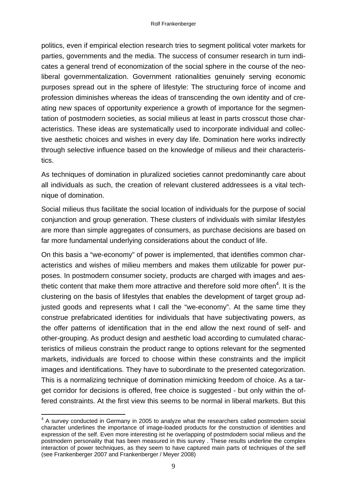politics, even if empirical election research tries to segment political voter markets for parties, governments and the media. The success of consumer research in turn indicates a general trend of economization of the social sphere in the course of the neoliberal governmentalization. Government rationalities genuinely serving economic purposes spread out in the sphere of lifestyle: The structuring force of income and profession diminishes whereas the ideas of transcending the own identity and of creating new spaces of opportunity experience a growth of importance for the segmentation of postmodern societies, as social milieus at least in parts crosscut those characteristics. These ideas are systematically used to incorporate individual and collective aesthetic choices and wishes in every day life. Domination here works indirectly through selective influence based on the knowledge of milieus and their characteristics.

As techniques of domination in pluralized societies cannot predominantly care about all individuals as such, the creation of relevant clustered addressees is a vital technique of domination.

Social milieus thus facilitate the social location of individuals for the purpose of social conjunction and group generation. These clusters of individuals with similar lifestyles are more than simple aggregates of consumers, as purchase decisions are based on far more fundamental underlying considerations about the conduct of life.

On this basis a "we-economy" of power is implemented, that identifies common characteristics and wishes of milieu members and makes them utilizable for power purposes. In postmodern consumer society, products are charged with images and aesthetic content that make them more attractive and therefore sold more often $4$ . It is the clustering on the basis of lifestyles that enables the development of target group adjusted goods and represents what I call the "we-economy". At the same time they construe prefabricated identities for individuals that have subjectivating powers, as the offer patterns of identification that in the end allow the next round of self- and other-grouping. As product design and aesthetic load according to cumulated characteristics of milieus constrain the product range to options relevant for the segmented markets, individuals are forced to choose within these constraints and the implicit images and identifications. They have to subordinate to the presented categorization. This is a normalizing technique of domination mimicking freedom of choice. As a target corridor for decisions is offered, free choice is suggested - but only within the offered constraints. At the first view this seems to be normal in liberal markets. But this

<sup>1</sup> <sup>4</sup> A survey conducted in Germany in 2005 to analyze what the researchers called postmodern social character underlines the importance of image-loaded products for the construction of identities and expression of the self. Even more interesting ist he overlapping of postmdodern social milieus and the postmodern personality that has been measured in this survey . These results underline the complex interaction of power techniques, as they seem to have captured main parts of techniques of the self (see Frankenberger 2007 and Frankenberger / Meyer 2008)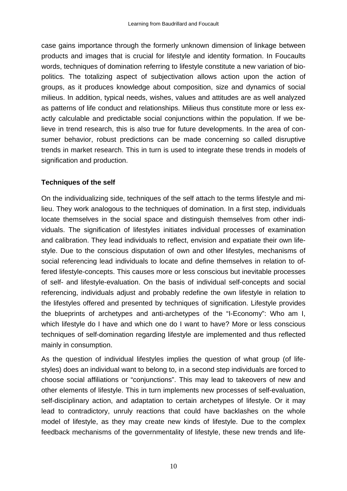case gains importance through the formerly unknown dimension of linkage between products and images that is crucial for lifestyle and identity formation. In Foucaults words, techniques of domination referring to lifestyle constitute a new variation of biopolitics. The totalizing aspect of subjectivation allows action upon the action of groups, as it produces knowledge about composition, size and dynamics of social milieus. In addition, typical needs, wishes, values and attitudes are as well analyzed as patterns of life conduct and relationships. Milieus thus constitute more or less exactly calculable and predictable social conjunctions within the population. If we believe in trend research, this is also true for future developments. In the area of consumer behavior, robust predictions can be made concerning so called disruptive trends in market research. This in turn is used to integrate these trends in models of signification and production.

### **Techniques of the self**

On the individualizing side, techniques of the self attach to the terms lifestyle and milieu. They work analogous to the techniques of domination. In a first step, individuals locate themselves in the social space and distinguish themselves from other individuals. The signification of lifestyles initiates individual processes of examination and calibration. They lead individuals to reflect, envision and expatiate their own lifestyle. Due to the conscious disputation of own and other lifestyles, mechanisms of social referencing lead individuals to locate and define themselves in relation to offered lifestyle-concepts. This causes more or less conscious but inevitable processes of self- and lifestyle-evaluation. On the basis of individual self-concepts and social referencing, individuals adjust and probably redefine the own lifestyle in relation to the lifestyles offered and presented by techniques of signification. Lifestyle provides the blueprints of archetypes and anti-archetypes of the "I-Economy": Who am I, which lifestyle do I have and which one do I want to have? More or less conscious techniques of self-domination regarding lifestyle are implemented and thus reflected mainly in consumption.

As the question of individual lifestyles implies the question of what group (of lifestyles) does an individual want to belong to, in a second step individuals are forced to choose social affiliations or "conjunctions". This may lead to takeovers of new and other elements of lifestyle. This in turn implements new processes of self-evaluation, self-disciplinary action, and adaptation to certain archetypes of lifestyle. Or it may lead to contradictory, unruly reactions that could have backlashes on the whole model of lifestyle, as they may create new kinds of lifestyle. Due to the complex feedback mechanisms of the governmentality of lifestyle, these new trends and life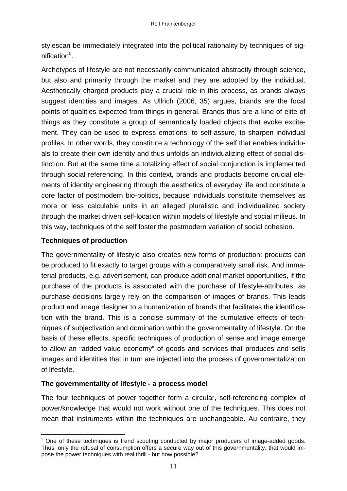stylescan be immediately integrated into the political rationality by techniques of signification<sup>5</sup>.

Archetypes of lifestyle are not necessarily communicated abstractly through science, but also and primarily through the market and they are adopted by the individual. Aesthetically charged products play a crucial role in this process, as brands always suggest identities and images. As Ullrich (2006, 35) argues, brands are the focal points of qualities expected from things in general. Brands thus are a kind of elite of things as they constitute a group of semantically loaded objects that evoke excitement. They can be used to express emotions, to self-assure, to sharpen individual profiles. In other words, they constitute a technology of the self that enables individuals to create their own identity and thus unfolds an individualizing effect of social distinction. But at the same time a totalizing effect of social conjunction is implemented through social referencing. In this context, brands and products become crucial elements of identity engineering through the aesthetics of everyday life and constitute a core factor of postmodern bio-politics, because individuals constitute themselves as more or less calculable units in an alleged pluralistic and individualized society through the market driven self-location within models of lifestyle and social milieus. In this way, techniques of the self foster the postmodern variation of social cohesion.

### **Techniques of production**

<u>.</u>

The governmentality of lifestyle also creates new forms of production: products can be produced to fit exactly to target groups with a comparatively small risk. And immaterial products, e.g. advertisement, can produce additional market opportunities, if the purchase of the products is associated with the purchase of lifestyle-attributes, as purchase decisions largely rely on the comparison of images of brands. This leads product and image designer to a humanization of brands that facilitates the identification with the brand. This is a concise summary of the cumulative effects of techniques of subjectivation and domination within the governmentality of lifestyle. On the basis of these effects, specific techniques of production of sense and image emerge to allow an "added value economy" of goods and services that produces and sells images and identities that in turn are injected into the process of governmentalization of lifestyle.

## **The governmentality of lifestyle - a process model**

The four techniques of power together form a circular, self-referencing complex of power/knowledge that would not work without one of the techniques. This does not mean that instruments within the techniques are unchangeable. Au contraire, they

 $5$  One of these techniques is trend scouting conducted by major producers of image-added goods. Thus, only the refusal of consumption offers a secure way out of this governmentality, that would impose the power techniques with real thrill - but how possible?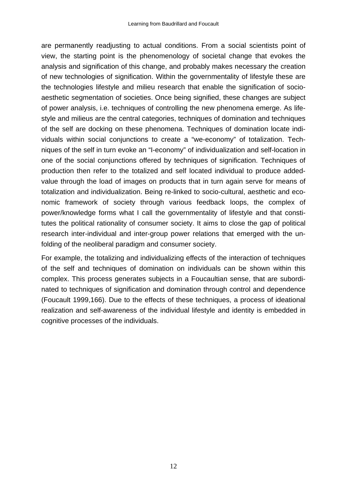are permanently readjusting to actual conditions. From a social scientists point of view, the starting point is the phenomenology of societal change that evokes the analysis and signification of this change, and probably makes necessary the creation of new technologies of signification. Within the governmentality of lifestyle these are the technologies lifestyle and milieu research that enable the signification of socioaesthetic segmentation of societies. Once being signified, these changes are subject of power analysis, i.e. techniques of controlling the new phenomena emerge. As lifestyle and milieus are the central categories, techniques of domination and techniques of the self are docking on these phenomena. Techniques of domination locate individuals within social conjunctions to create a "we-economy" of totalization. Techniques of the self in turn evoke an "I-economy" of individualization and self-location in one of the social conjunctions offered by techniques of signification. Techniques of production then refer to the totalized and self located individual to produce addedvalue through the load of images on products that in turn again serve for means of totalization and individualization. Being re-linked to socio-cultural, aesthetic and economic framework of society through various feedback loops, the complex of power/knowledge forms what I call the governmentality of lifestyle and that constitutes the political rationality of consumer society. It aims to close the gap of political research inter-individual and inter-group power relations that emerged with the unfolding of the neoliberal paradigm and consumer society.

For example, the totalizing and individualizing effects of the interaction of techniques of the self and techniques of domination on individuals can be shown within this complex. This process generates subjects in a Foucaultian sense, that are subordinated to techniques of signification and domination through control and dependence (Foucault 1999,166). Due to the effects of these techniques, a process of ideational realization and self-awareness of the individual lifestyle and identity is embedded in cognitive processes of the individuals.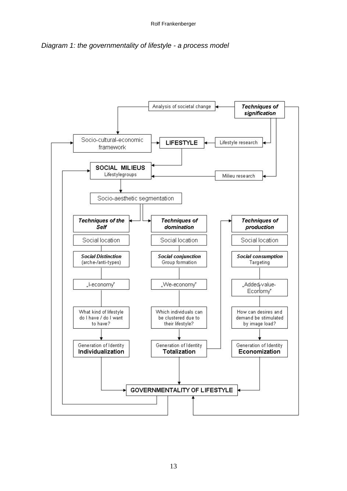*Diagram 1: the governmentality of lifestyle - a process model* 

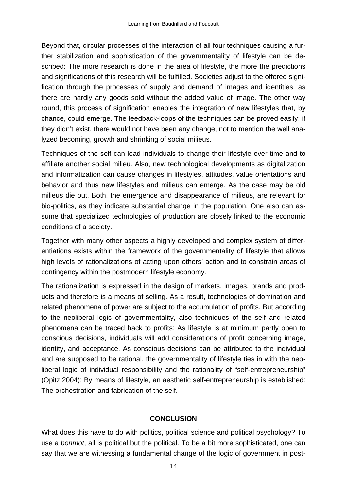Beyond that, circular processes of the interaction of all four techniques causing a further stabilization and sophistication of the governmentality of lifestyle can be described: The more research is done in the area of lifestyle, the more the predictions and significations of this research will be fulfilled. Societies adjust to the offered signification through the processes of supply and demand of images and identities, as there are hardly any goods sold without the added value of image. The other way round, this process of signification enables the integration of new lifestyles that, by chance, could emerge. The feedback-loops of the techniques can be proved easily: if they didn't exist, there would not have been any change, not to mention the well analyzed becoming, growth and shrinking of social milieus.

Techniques of the self can lead individuals to change their lifestyle over time and to affiliate another social milieu. Also, new technological developments as digitalization and informatization can cause changes in lifestyles, attitudes, value orientations and behavior and thus new lifestyles and milieus can emerge. As the case may be old milieus die out. Both, the emergence and disappearance of milieus, are relevant for bio-politics, as they indicate substantial change in the population. One also can assume that specialized technologies of production are closely linked to the economic conditions of a society.

Together with many other aspects a highly developed and complex system of differentiations exists within the framework of the governmentality of lifestyle that allows high levels of rationalizations of acting upon others' action and to constrain areas of contingency within the postmodern lifestyle economy.

The rationalization is expressed in the design of markets, images, brands and products and therefore is a means of selling. As a result, technologies of domination and related phenomena of power are subject to the accumulation of profits. But according to the neoliberal logic of governmentality, also techniques of the self and related phenomena can be traced back to profits: As lifestyle is at minimum partly open to conscious decisions, individuals will add considerations of profit concerning image, identity, and acceptance. As conscious decisions can be attributed to the individual and are supposed to be rational, the governmentality of lifestyle ties in with the neoliberal logic of individual responsibility and the rationality of "self-entrepreneurship" (Opitz 2004): By means of lifestyle, an aesthetic self-entrepreneurship is established: The orchestration and fabrication of the self.

## **CONCLUSION**

What does this have to do with politics, political science and political psychology? To use a *bonmot*, all is political but the political. To be a bit more sophisticated, one can say that we are witnessing a fundamental change of the logic of government in post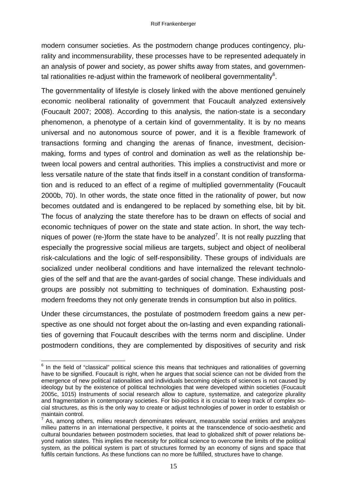modern consumer societies. As the postmodern change produces contingency, plurality and incommensurability, these processes have to be represented adequately in an analysis of power and society, as power shifts away from states, and governmental rationalities re-adjust within the framework of neoliberal governmentality<sup>6</sup>.

The governmentality of lifestyle is closely linked with the above mentioned genuinely economic neoliberal rationality of government that Foucault analyzed extensively (Foucault 2007; 2008). According to this analysis, the nation-state is a secondary phenomenon, a phenotype of a certain kind of governmentality. It is by no means universal and no autonomous source of power, and it is a flexible framework of transactions forming and changing the arenas of finance, investment, decisionmaking, forms and types of control and domination as well as the relationship between local powers and central authorities. This implies a constructivist and more or less versatile nature of the state that finds itself in a constant condition of transformation and is reduced to an effect of a regime of multiplied governmentality (Foucault 2000b, 70). In other words, the state once fitted in the rationality of power, but now becomes outdated and is endangered to be replaced by something else, bit by bit. The focus of analyzing the state therefore has to be drawn on effects of social and economic techniques of power on the state and state action. In short, the way techniques of power (re-)form the state have to be analyzed<sup>7</sup>. It is not really puzzling that especially the progressive social milieus are targets, subject and object of neoliberal risk-calculations and the logic of self-responsibility. These groups of individuals are socialized under neoliberal conditions and have internalized the relevant technologies of the self and that are the avant-gardes of social change. These individuals and groups are possibly not submitting to techniques of domination. Exhausting postmodern freedoms they not only generate trends in consumption but also in politics.

Under these circumstances, the postulate of postmodern freedom gains a new perspective as one should not forget about the on-lasting and even expanding rationalities of governing that Foucault describes with the terms norm and discipline. Under postmodern conditions, they are complemented by dispositives of security and risk

 $\overline{\phantom{a}}$  $6$  In the field of "classical" political science this means that techniques and rationalities of governing have to be signified. Foucault is right, when he argues that social science can not be divided from the emergence of new political rationalities and individuals becoming objects of sciences is not caused by ideology but by the existence of political technologies that were developed within societies (Foucault 2005c, 1015) Instruments of social research allow to capture, systematize, and categorize plurality and fragmentation in contemporary societies. For bio-politics it is crucial to keep track of complex social structures, as this is the only way to create or adjust technologies of power in order to establish or maintain control.

 $7$  As, among others, milieu research denominates relevant, measurable social entities and analyzes milieu patterns in an international perspective, it points at the transcendence of socio-aesthetic and cultural boundaries between postmodern societies, that lead to globalized shift of power relations beyond nation states. This implies the necessity for political science to overcome the limits of the political system, as the political system is part of structures formed by an economy of signs and space that fulfils certain functions. As these functions can no more be fulfilled, structures have to change.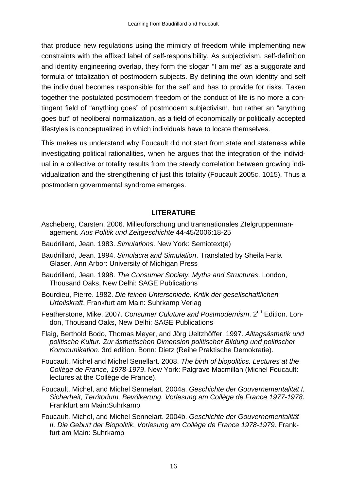that produce new regulations using the mimicry of freedom while implementing new constraints with the affixed label of self-responsibility. As subjectivism, self-definition and identity engineering overlap, they form the slogan "I am me" as a suggorate and formula of totalization of postmodern subjects. By defining the own identity and self the individual becomes responsible for the self and has to provide for risks. Taken together the postulated postmodern freedom of the conduct of life is no more a contingent field of "anything goes" of postmodern subjectivism, but rather an "anything goes but" of neoliberal normalization, as a field of economically or politically accepted lifestyles is conceptualized in which individuals have to locate themselves.

This makes us understand why Foucault did not start from state and stateness while investigating political rationalities, when he argues that the integration of the individual in a collective or totality results from the steady correlation between growing individualization and the strengthening of just this totality (Foucault 2005c, 1015). Thus a postmodern governmental syndrome emerges.

### **LITERATURE**

- Ascheberg, Carsten. 2006. Milieuforschung und transnationales ZIelgruppenmanagement. *Aus Politik und Zeitgeschichte* 44-45/2006:18-25
- Baudrillard, Jean. 1983. *Simulations*. New York: Semiotext(e)
- Baudrillard, Jean. 1994. *Simulacra and Simulation*. Translated by Sheila Faria Glaser. Ann Arbor: University of Michigan Press
- Baudrillard, Jean. 1998. *The Consumer Society. Myths and Structures*. London, Thousand Oaks, New Delhi: SAGE Publications
- Bourdieu, Pierre. 1982. *Die feinen Unterschiede. Kritik der gesellschaftlichen Urteilskraft*. Frankfurt am Main: Suhrkamp Verlag
- Featherstone, Mike. 2007. *Consumer Culuture and Postmodernism*. 2nd Edition. London, Thousand Oaks, New Delhi: SAGE Publications
- Flaig, Berthold Bodo, Thomas Meyer, and Jörg Ueltzhöffer. 1997. *Alltagsästhetik und politische Kultur. Zur ästhetischen Dimension politischer Bildung und politischer Kommunikation*. 3rd edition. Bonn: Dietz (Reihe Praktische Demokratie).
- Foucault, Michel and Michel Senellart. 2008. *The birth of biopolitics. Lectures at the Collège de France, 1978-1979*. New York: Palgrave Macmillan (Michel Foucault: lectures at the Collège de France).
- Foucault, Michel, and Michel Sennelart. 2004a. *Geschichte der Gouvernementalität I. Sicherheit, Territorium, Bevölkerung. Vorlesung am Collège de France 1977-1978*. Frankfurt am Main:Suhrkamp
- Foucault, Michel, and Michel Sennelart. 2004b. *Geschichte der Gouvernementalität II. Die Geburt der Biopolitik. Vorlesung am Collège de France 1978-1979*. Frankfurt am Main: Suhrkamp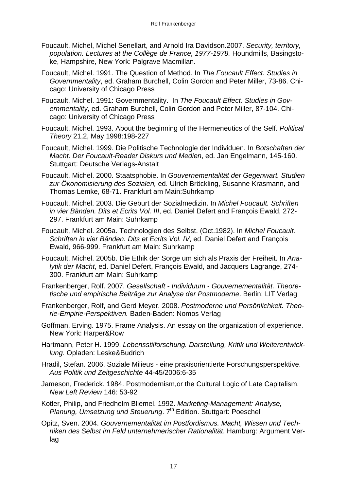- Foucault, Michel, Michel Senellart, and Arnold Ira Davidson.2007. *Security, territory, population. Lectures at the Collège de France, 1977-1978.* Houndmills, Basingstoke, Hampshire, New York: Palgrave Macmillan.
- Foucault, Michel. 1991. The Question of Method. In *The Foucault Effect. Studies in Governmentality*, ed. Graham Burchell, Colin Gordon and Peter Miller, 73-86. Chicago: University of Chicago Press
- Foucault, Michel. 1991: Governmentality. In *The Foucault Effect. Studies in Governmentality*, ed. Graham Burchell, Colin Gordon and Peter Miller, 87-104. Chicago: University of Chicago Press
- Foucault, Michel. 1993. About the beginning of the Hermeneutics of the Self. *Political Theory* 21,2, May 1998:198-227
- Foucault, Michel. 1999. Die Politische Technologie der Individuen. In *Botschaften der Macht. Der Foucault-Reader Diskurs und Medien*, ed. Jan Engelmann, 145-160. Stuttgart: Deutsche Verlags-Anstalt
- Foucault, Michel. 2000. Staatsphobie. In *Gouvernementalität der Gegenwart. Studien zur Ökonomisierung des Sozialen,* ed. Ulrich Bröckling, Susanne Krasmann, and Thomas Lemke, 68-71. Frankfurt am Main:Suhrkamp
- Foucault, Michel. 2003. Die Geburt der Sozialmedizin. In *Michel Foucault. Schriften in vier Bänden. Dits et Ecrits Vol. III*, ed. Daniel Defert and François Ewald, 272- 297. Frankfurt am Main: Suhrkamp
- Foucault, Michel. 2005a. Technologien des Selbst. (Oct.1982). In *Michel Foucault. Schriften in vier Bänden. Dits et Ecrits Vol. IV*, ed. Daniel Defert and François Ewald, 966-999. Frankfurt am Main: Suhrkamp
- Foucault, Michel. 2005b. Die Ethik der Sorge um sich als Praxis der Freiheit. In *Analytik der Macht*, ed. Daniel Defert, François Ewald, and Jacquers Lagrange, 274- 300. Frankfurt am Main: Suhrkamp
- Frankenberger, Rolf. 2007. *Gesellschaft Individuum Gouvernementalität. Theoretische und empirische Beiträge zur Analyse der Postmoderne*. Berlin: LIT Verlag
- Frankenberger, Rolf, and Gerd Meyer. 2008. *Postmoderne und Persönlichkeit. Theorie-Empirie-Perspektiven.* Baden-Baden: Nomos Verlag
- Goffman, Erving. 1975. Frame Analysis. An essay on the organization of experience. New York: Harper&Row
- Hartmann, Peter H. 1999. *Lebensstilforschung. Darstellung, Kritik und Weiterentwicklung*. Opladen: Leske&Budrich
- Hradil, Stefan. 2006. Soziale Milieus eine praxisorientierte Forschungsperspektive. *Aus Politik und Zeitgeschichte* 44-45/2006:6-35
- Jameson, Frederick. 1984. Postmodernism,or the Cultural Logic of Late Capitalism. *New Left Review* 146: 53-92
- Kotler, Philip, and Friedhelm Bliemel. 1992. *Marketing-Management: Analyse, Planung, Umsetzung und Steuerung.* 7<sup>th</sup> Edition. Stuttgart: Poeschel
- Opitz, Sven. 2004. *Gouvernementalität im Postfordismus. Macht, Wissen und Techniken des Selbst im Feld unternehmerischer Rationalität*. Hamburg: Argument Verlag